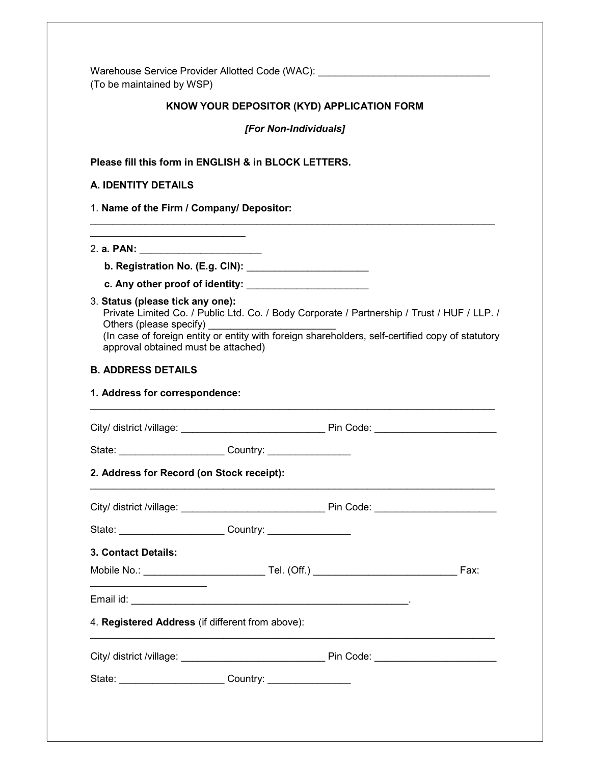Warehouse Service Provider Allotted Code (WAC): \_\_\_\_\_\_\_\_\_\_\_\_\_\_\_\_\_\_\_\_\_\_\_\_\_\_\_\_\_\_\_\_ (To be maintained by WSP)

# KNOW YOUR DEPOSITOR (KYD) APPLICATION FORM

[For Non-Individuals]

Please fill this form in ENGLISH & in BLOCK LETTERS.

## A. IDENTITY DETAILS

1. Name of the Firm / Company/ Depositor:

 $\overline{\phantom{a}}$ 

2. a. PAN: \_\_\_\_\_\_\_\_\_\_\_\_\_\_\_\_\_\_\_\_\_\_

b. Registration No. (E.g. CIN): \_\_\_\_\_\_\_\_\_\_\_\_\_\_\_\_\_\_\_\_\_\_

c. Any other proof of identity:

3. Status (please tick any one):

Private Limited Co. / Public Ltd. Co. / Body Corporate / Partnership / Trust / HUF / LLP. / Others (please specify)

(In case of foreign entity or entity with foreign shareholders, self-certified copy of statutory approval obtained must be attached)

 $\overline{\phantom{a}}$  , and the set of the set of the set of the set of the set of the set of the set of the set of the set of the set of the set of the set of the set of the set of the set of the set of the set of the set of the s

## B. ADDRESS DETAILS

#### 1. Address for correspondence:

| City/ district /village: ________________________________Pin Code: ______________             |  |  |
|-----------------------------------------------------------------------------------------------|--|--|
| State: _________________________________Country: _______________________________              |  |  |
| 2. Address for Record (on Stock receipt):                                                     |  |  |
| City/ district /village: _________________________________Pin Code: _________________________ |  |  |
| State: _________________________________Country: _______________________________              |  |  |
| 3. Contact Details:                                                                           |  |  |
|                                                                                               |  |  |
| and the control of the control of the control of the control of the control of the control of |  |  |
| 4. Registered Address (if different from above):                                              |  |  |
| City/ district /village: _________________________________Pin Code: _________________________ |  |  |
| State: Country: Country:                                                                      |  |  |
|                                                                                               |  |  |
|                                                                                               |  |  |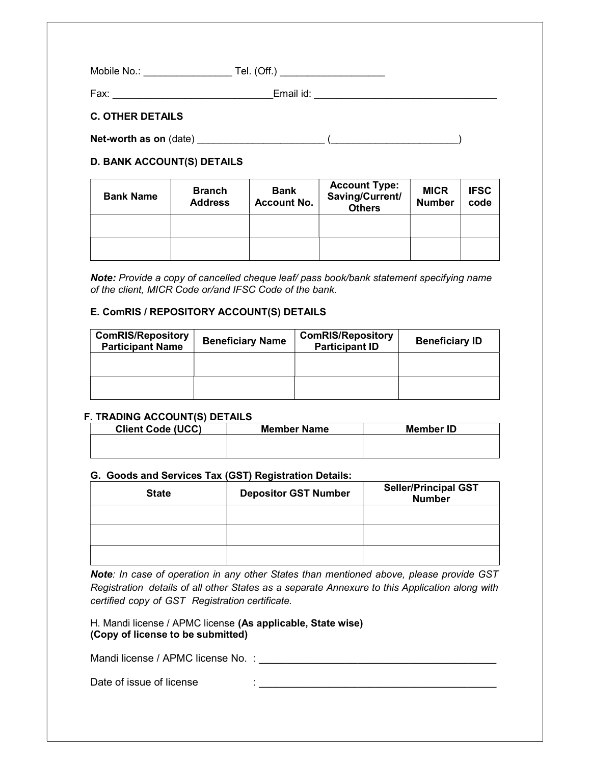| Mobile No.: | Tel. (Off.) |
|-------------|-------------|
| Fax:        | Email id:   |

# C. OTHER DETAILS

Net-worth as on (date) \_\_\_\_\_\_\_\_\_\_\_\_\_\_\_\_\_\_\_\_\_\_\_ (\_\_\_\_\_\_\_\_\_\_\_\_\_\_\_\_\_\_\_\_\_\_\_)

# D. BANK ACCOUNT(S) DETAILS

| <b>Bank Name</b> | <b>Branch</b><br><b>Address</b> | <b>Bank</b><br><b>Account No.</b> | <b>Account Type:</b><br>Saving/Current/<br><b>Others</b> | <b>MICR</b><br><b>Number</b> | <b>IFSC</b><br>code |
|------------------|---------------------------------|-----------------------------------|----------------------------------------------------------|------------------------------|---------------------|
|                  |                                 |                                   |                                                          |                              |                     |
|                  |                                 |                                   |                                                          |                              |                     |

Note: Provide a copy of cancelled cheque leaf/ pass book/bank statement specifying name of the client, MICR Code or/and IFSC Code of the bank.

# E. ComRIS / REPOSITORY ACCOUNT(S) DETAILS

| <b>ComRIS/Repository</b><br><b>Participant Name</b> | <b>Beneficiary Name</b> | <b>ComRIS/Repository</b><br><b>Participant ID</b> | <b>Beneficiary ID</b> |
|-----------------------------------------------------|-------------------------|---------------------------------------------------|-----------------------|
|                                                     |                         |                                                   |                       |
|                                                     |                         |                                                   |                       |

# F. TRADING ACCOUNT(S) DETAILS

| <b>Client Code (UCC)</b> | <b>Member Name</b> | <b>Member ID</b> |
|--------------------------|--------------------|------------------|
|                          |                    |                  |
|                          |                    |                  |

# G. Goods and Services Tax (GST) Registration Details:

| <b>State</b> | <b>Depositor GST Number</b> | <b>Seller/Principal GST</b><br><b>Number</b> |
|--------------|-----------------------------|----------------------------------------------|
|              |                             |                                              |
|              |                             |                                              |
|              |                             |                                              |

Note: In case of operation in any other States than mentioned above, please provide GST Registration details of all other States as a separate Annexure to this Application along with certified copy of GST Registration certificate.

 $\mathbf{D}=\{x_1,\ldots,x_n\}$  :  $\mathbf{D}=\{x_1,\ldots,x_n\}$  :  $\mathbf{D}=\{x_1,\ldots,x_n\}$ 

H. Mandi license / APMC license (As applicable, State wise) (Copy of license to be submitted)

Mandi license / APMC license No. : \_\_\_\_\_\_\_\_\_\_\_\_\_\_\_\_\_\_\_\_\_\_\_\_\_\_\_\_\_\_\_\_\_\_\_\_\_\_\_\_\_

|  | Date of issue of license |  |
|--|--------------------------|--|
|--|--------------------------|--|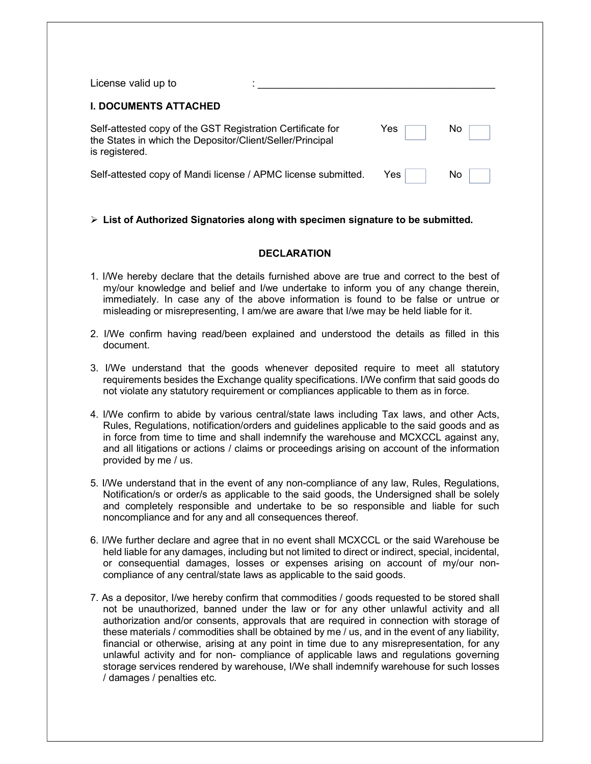| License valid up to                                                                                                                       |      |     |
|-------------------------------------------------------------------------------------------------------------------------------------------|------|-----|
| <b>I. DOCUMENTS ATTACHED</b>                                                                                                              |      |     |
| Self-attested copy of the GST Registration Certificate for<br>the States in which the Depositor/Client/Seller/Principal<br>is registered. | Yes  | Νo  |
| Self-attested copy of Mandi license / APMC license submitted.                                                                             | Yes. | No. |

# $\triangleright$  List of Authorized Signatories along with specimen signature to be submitted.

## **DECLARATION**

- 1. I/We hereby declare that the details furnished above are true and correct to the best of my/our knowledge and belief and I/we undertake to inform you of any change therein, immediately. In case any of the above information is found to be false or untrue or misleading or misrepresenting, I am/we are aware that I/we may be held liable for it.
- 2. I/We confirm having read/been explained and understood the details as filled in this document.
- 3. I/We understand that the goods whenever deposited require to meet all statutory requirements besides the Exchange quality specifications. I/We confirm that said goods do not violate any statutory requirement or compliances applicable to them as in force.
- 4. I/We confirm to abide by various central/state laws including Tax laws, and other Acts, Rules, Regulations, notification/orders and guidelines applicable to the said goods and as in force from time to time and shall indemnify the warehouse and MCXCCL against any, and all litigations or actions / claims or proceedings arising on account of the information provided by me / us.
- 5. I/We understand that in the event of any non-compliance of any law, Rules, Regulations, Notification/s or order/s as applicable to the said goods, the Undersigned shall be solely and completely responsible and undertake to be so responsible and liable for such noncompliance and for any and all consequences thereof.
- 6. I/We further declare and agree that in no event shall MCXCCL or the said Warehouse be held liable for any damages, including but not limited to direct or indirect, special, incidental, or consequential damages, losses or expenses arising on account of my/our noncompliance of any central/state laws as applicable to the said goods.
- 7. As a depositor, I/we hereby confirm that commodities / goods requested to be stored shall not be unauthorized, banned under the law or for any other unlawful activity and all authorization and/or consents, approvals that are required in connection with storage of these materials / commodities shall be obtained by me / us, and in the event of any liability, financial or otherwise, arising at any point in time due to any misrepresentation, for any unlawful activity and for non- compliance of applicable laws and regulations governing storage services rendered by warehouse, I/We shall indemnify warehouse for such losses / damages / penalties etc.